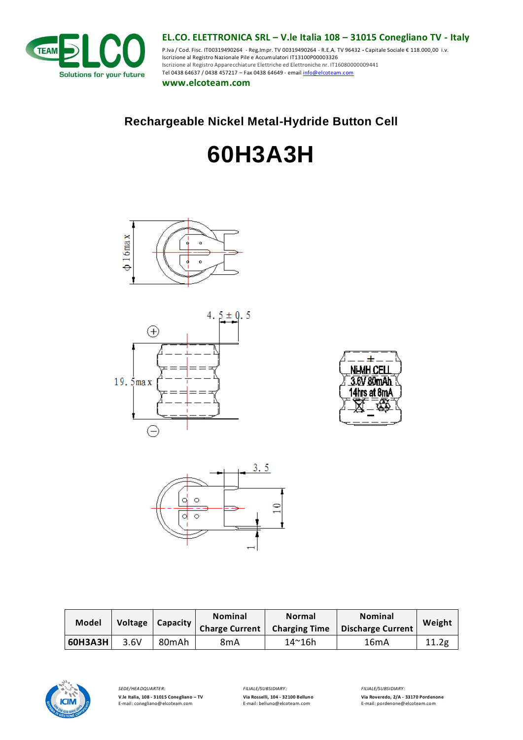

**EL.CO. ELETTRONICA SRL – V.le Italia 108 – 31015 Conegliano TV - Italy** P.Iva / Cod. Fisc. IT00319490264 - Reg.Impr. TV 00319490264 - R.E.A. TV 96432 **-** Capitale Sociale € 118.000,00 i.v. Iscrizione al Registro Nazionale Pile e Accumulatori IT13100P00003326 Iscrizione al Registro Apparecchiature Elettriche ed Elettroniche nr. IT16080000009441 Tel 0438 64637 / 0438 457217 – Fax 0438 64649 - emai[l info@elcoteam.com](mailto:info@elcoteam.com)

**www.elcoteam.com**

# **Rechargeable Nickel Metal-Hydride Button Cell**

# **60H3A3H**









| Model   | Voltage | Capacity           | <b>Nominal</b><br>Charge Current | <b>Normal</b><br><b>Charging Time</b> | <b>Nominal</b><br><b>Discharge Current</b> | Weight |
|---------|---------|--------------------|----------------------------------|---------------------------------------|--------------------------------------------|--------|
| 60H3A3H | 3.6V    | 80 <sub>m</sub> Ah | 8mA                              | 14~16h                                | 16mA                                       | 11.2g  |



*SEDE/HEADQUARTER: FILIALE/SUBSIDIARY: FILIALE/SUBSIDIARY:* **V.le Italia, 108 - 31015 Conegliano – TV Via Rosselli, 104 - 32100 Belluno Via Roveredo, 2/A - 33170 Pordenone**

E-mail[: conegliano@elcoteam.com](mailto:conegliano@elcoteam.com) E-mail[: belluno@elcoteam.com](mailto:belluno@elcoteam.com) E-mail: pordenone@elcoteam.com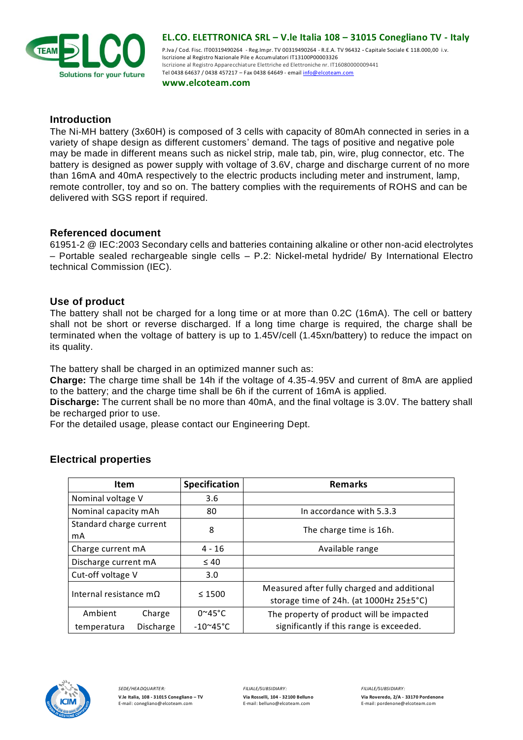

**EL.CO. ELETTRONICA SRL – V.le Italia 108 – 31015 Conegliano TV - Italy** P.Iva / Cod. Fisc. IT00319490264 - Reg.Impr. TV 00319490264 - R.E.A. TV 96432 **-** Capitale Sociale € 118.000,00 i.v. Iscrizione al Registro Nazionale Pile e Accumulatori IT13100P00003326 Iscrizione al Registro Apparecchiature Elettriche ed Elettroniche nr. IT16080000009441 Tel 0438 64637 / 0438 457217 – Fax 0438 64649 - emai[l info@elcoteam.com](mailto:info@elcoteam.com)

**www.elcoteam.com**

## **Introduction**

The Ni-MH battery (3x60H) is composed of 3 cells with capacity of 80mAh connected in series in a variety of shape design as different customers' demand. The tags of positive and negative pole may be made in different means such as nickel strip, male tab, pin, wire, plug connector, etc. The battery is designed as power supply with voltage of 3.6V, charge and discharge current of no more than 16mA and 40mA respectively to the electric products including meter and instrument, lamp, remote controller, toy and so on. The battery complies with the requirements of ROHS and can be delivered with SGS report if required.

## **Referenced document**

61951-2 @ IEC:2003 Secondary cells and batteries containing alkaline or other non-acid electrolytes – Portable sealed rechargeable single cells – P.2: Nickel-metal hydride/ By International Electro technical Commission (IEC).

# **Use of product**

The battery shall not be charged for a long time or at more than 0.2C (16mA). The cell or battery shall not be short or reverse discharged. If a long time charge is required, the charge shall be terminated when the voltage of battery is up to 1.45V/cell (1.45xn/battery) to reduce the impact on its quality.

The battery shall be charged in an optimized manner such as:

**Charge:** The charge time shall be 14h if the voltage of 4.35-4.95V and current of 8mA are applied to the battery; and the charge time shall be 6h if the current of 16mA is applied.

**Discharge:** The current shall be no more than 40mA, and the final voltage is 3.0V. The battery shall be recharged prior to use.

For the detailed usage, please contact our Engineering Dept.

| <b>Item</b>                   |                     | <b>Specification</b>                                | <b>Remarks</b>                                                                         |  |  |
|-------------------------------|---------------------|-----------------------------------------------------|----------------------------------------------------------------------------------------|--|--|
| Nominal voltage V             |                     | 3.6                                                 |                                                                                        |  |  |
| Nominal capacity mAh          |                     | 80                                                  | In accordance with 5.3.3                                                               |  |  |
| Standard charge current<br>mA |                     | 8                                                   | The charge time is 16h.                                                                |  |  |
| Charge current mA             |                     | $4 - 16$                                            | Available range                                                                        |  |  |
| Discharge current mA          |                     | $\leq 40$                                           |                                                                                        |  |  |
| Cut-off voltage V             |                     | 3.0                                                 |                                                                                        |  |  |
| Internal resistance $m\Omega$ |                     | $\leq 1500$                                         | Measured after fully charged and additional<br>storage time of 24h. (at 1000Hz 25±5°C) |  |  |
| Ambient<br>temperatura        | Charge<br>Discharge | $0^{\circ}45^{\circ}$ C<br>$-10^{\circ}45^{\circ}C$ | The property of product will be impacted<br>significantly if this range is exceeded.   |  |  |

# **Electrical properties**

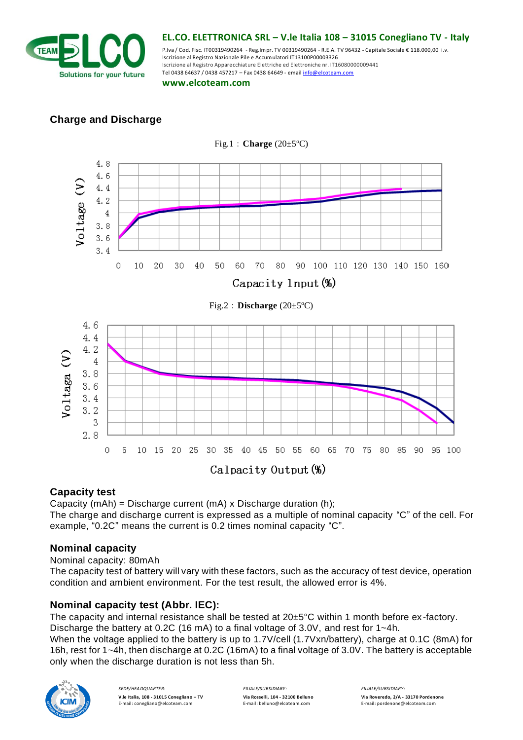

## **EL.CO. ELETTRONICA SRL – V.le Italia 108 – 31015 Conegliano TV - Italy**

P.Iva / Cod. Fisc. IT00319490264 - Reg.Impr. TV 00319490264 - R.E.A. TV 96432 **-** Capitale Sociale € 118.000,00 i.v. Iscrizione al Registro Nazionale Pile e Accumulatori IT13100P00003326 Iscrizione al Registro Apparecchiature Elettriche ed Elettroniche nr. IT16080000009441 Tel 0438 64637 / 0438 457217 – Fax 0438 64649 - emai[l info@elcoteam.com](mailto:info@elcoteam.com)

**www.elcoteam.com**



# **Charge and Discharge**

Calpacity Output (%)

# **Capacity test**

Capacity (mAh) = Discharge current (mA) x Discharge duration (h); The charge and discharge current is expressed as a multiple of nominal capacity "C" of the cell. For example, "0.2C" means the current is 0.2 times nominal capacity "C".

# **Nominal capacity**

Nominal capacity: 80mAh

The capacity test of battery will vary with these factors, such as the accuracy of test device, operation condition and ambient environment. For the test result, the allowed error is 4%.

# **Nominal capacity test (Abbr. IEC):**

The capacity and internal resistance shall be tested at 20±5°C within 1 month before ex -factory. Discharge the battery at 0.2C (16 mA) to a final voltage of 3.0V, and rest for 1~4h.

When the voltage applied to the battery is up to 1.7V/cell (1.7Vxn/battery), charge at 0.1C (8mA) for 16h, rest for 1~4h, then discharge at 0.2C (16mA) to a final voltage of 3.0V. The battery is acceptable only when the discharge duration is not less than 5h.



*SEDE/HEADQUARTER: FILIALE/SUBSIDIARY: FILIALE/SUBSIDIARY:* **V.le Italia, 108 - 31015 Conegliano – TV Via Rosselli, 104 - 32100 Belluno Via Roveredo, 2/A - 33170 Pordenone**

E-mail[: belluno@elcoteam.com](mailto:belluno@elcoteam.com)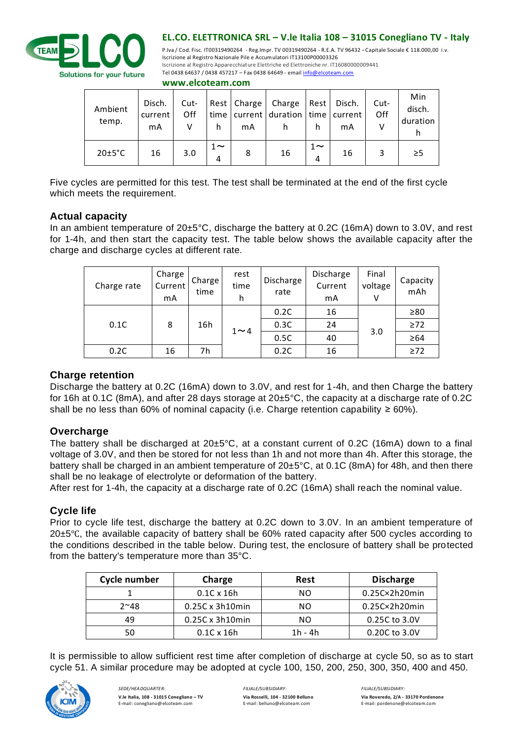

## **EL.CO. ELETTRONICA SRL – V.le Italia 108 – 31015 Conegliano TV - Italy**

P.Iva / Cod. Fisc. IT00319490264 - Reg.Impr. TV 00319490264 - R.E.A. TV 96432 **-** Capitale Sociale € 118.000,00 i.v. Iscrizione al Registro Nazionale Pile e Accumulatori IT13100P00003326 Iscrizione al Registro Apparecchiature Elettriche ed Elettroniche nr. IT16080000009441 Tel 0438 64637 / 0438 457217 – Fax 0438 64649 - emai[l info@elcoteam.com](mailto:info@elcoteam.com)

| Ambient<br>temp.     | Disch.<br>current<br>mA | Cut-<br>Off | h             | Rest   Charge  <br>mA | Charge   Rest  <br>time $ current $ duration $ time $ current<br>h | h             | Disch.<br>mA | Cut-<br>Off | Min<br>disch.<br>duration |
|----------------------|-------------------------|-------------|---------------|-----------------------|--------------------------------------------------------------------|---------------|--------------|-------------|---------------------------|
| $20 \pm 5^{\circ}$ C | 16                      | 3.0         | 1 $\sim$<br>4 | 8                     | 16                                                                 | $1 \sim$<br>4 | 16           |             | >5                        |

**www.elcoteam.com**

Five cycles are permitted for this test. The test shall be terminated at the end of the first cycle which meets the requirement.

## **Actual capacity**

In an ambient temperature of 20±5°C, discharge the battery at 0.2C (16mA) down to 3.0V, and rest for 1-4h, and then start the capacity test. The table below shows the available capacity after the charge and discharge cycles at different rate.

| Charge rate | Charge<br>Current<br>mA | Charge<br>time | rest<br>time<br>h | Discharge<br>rate | Discharge<br>Current<br>mA | Final<br>voltage<br>v | Capacity<br>mAh |
|-------------|-------------------------|----------------|-------------------|-------------------|----------------------------|-----------------------|-----------------|
|             |                         |                |                   | 0.2C              | 16                         |                       | $\geq 80$       |
| 0.1C        | 8                       | 16h            | $1\sim4$          | 0.3C              | 24                         | 3.0                   | $\geq 72$       |
|             |                         |                |                   | 0.5C              | 40                         |                       | $\geq 64$       |
| 0.2C        | 16                      | 7h             |                   | 0.2C              | 16                         |                       | $\geq$ 72       |

## **Charge retention**

Discharge the battery at 0.2C (16mA) down to 3.0V, and rest for 1-4h, and then Charge the battery for 16h at 0.1C (8mA), and after 28 days storage at 20±5°C, the capacity at a discharge rate of 0.2C shall be no less than 60% of nominal capacity (i.e. Charge retention capability  $\geq 60\%$ ).

# **Overcharge**

The battery shall be discharged at  $20\pm5^{\circ}$ C, at a constant current of 0.2C (16mA) down to a final voltage of 3.0V, and then be stored for not less than 1h and not more than 4h. After this storage, the battery shall be charged in an ambient temperature of  $20\pm5^{\circ}$ C, at 0.1C (8mA) for 48h, and then there shall be no leakage of electrolyte or deformation of the battery.

After rest for 1-4h, the capacity at a discharge rate of 0.2C (16mA) shall reach the nominal value.

## **Cycle life**

Prior to cycle life test, discharge the battery at 0.2C down to 3.0V. In an ambient temperature of 20±5℃, the available capacity of battery shall be 60% rated capacity after 500 cycles according to the conditions described in the table below. During test, the enclosure of battery shall be protected from the battery's temperature more than 35°C.

| Cycle number | Charge                  |         | <b>Discharge</b>        |  |  |
|--------------|-------------------------|---------|-------------------------|--|--|
|              | $0.1C \times 16h$       | NΟ      | $0.25C \times 2h20$ min |  |  |
| $2^{\sim}48$ | $0.25C \times 3h10$ min | NO      | $0.25C \times 2h20$ min |  |  |
| 49           | $0.25C \times 3h10$ min | NΟ      | 0.25C to 3.0V           |  |  |
|              | $0.1C \times 16h$       | 1h - 4h | 0.20C to 3.0V           |  |  |

It is permissible to allow sufficient rest time after completion of discharge at cycle 50, so as to start cycle 51. A similar procedure may be adopted at cycle 100, 150, 200, 250, 300, 350, 400 and 450.